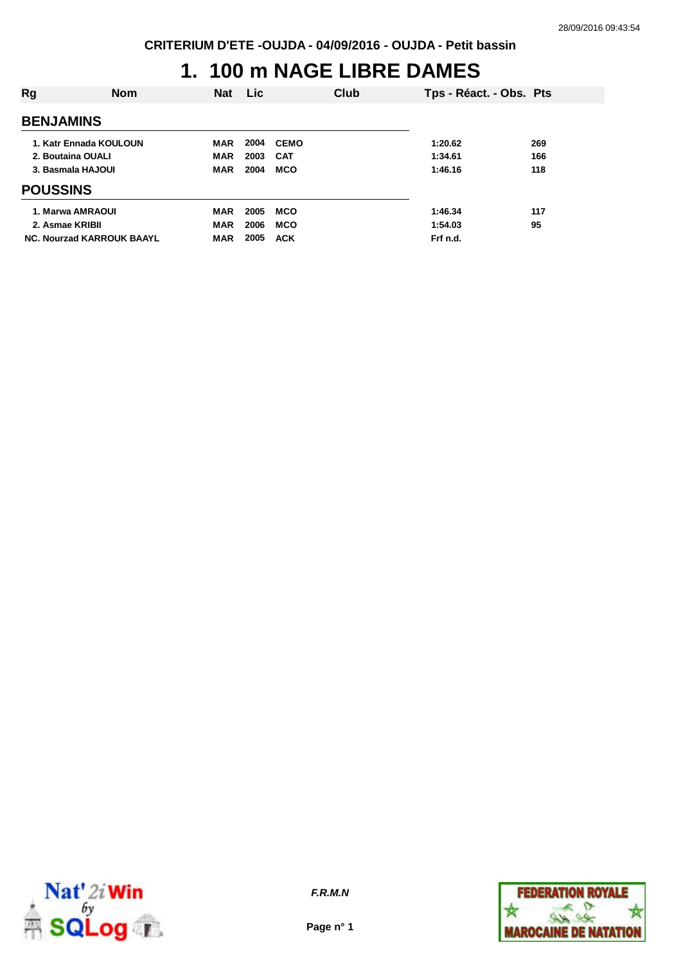## **1. 100 m NAGE LIBRE DAMES**

| Rg                               | <b>Nom</b> | <b>Nat</b> | <b>Lic</b> |             | Club | Tps - Réact. - Obs. Pts |     |
|----------------------------------|------------|------------|------------|-------------|------|-------------------------|-----|
| <b>BENJAMINS</b>                 |            |            |            |             |      |                         |     |
| 1. Katr Ennada KOULOUN           |            | <b>MAR</b> | 2004       | <b>CEMO</b> |      | 1:20.62                 | 269 |
| 2. Boutaina OUALI                |            | <b>MAR</b> | 2003       | <b>CAT</b>  |      | 1:34.61                 | 166 |
| 3. Basmala HAJOUI                |            | <b>MAR</b> | 2004       | <b>MCO</b>  |      | 1:46.16                 | 118 |
| <b>POUSSINS</b>                  |            |            |            |             |      |                         |     |
| 1. Marwa AMRAOUI                 |            | MAR        | 2005       | <b>MCO</b>  |      | 1:46.34                 | 117 |
| 2. Asmae KRIBII                  |            | <b>MAR</b> | 2006       | <b>MCO</b>  |      | 1:54.03                 | 95  |
| <b>NC. Nourzad KARROUK BAAYL</b> |            | MAR        | 2005       | <b>ACK</b>  |      | Frf n.d.                |     |



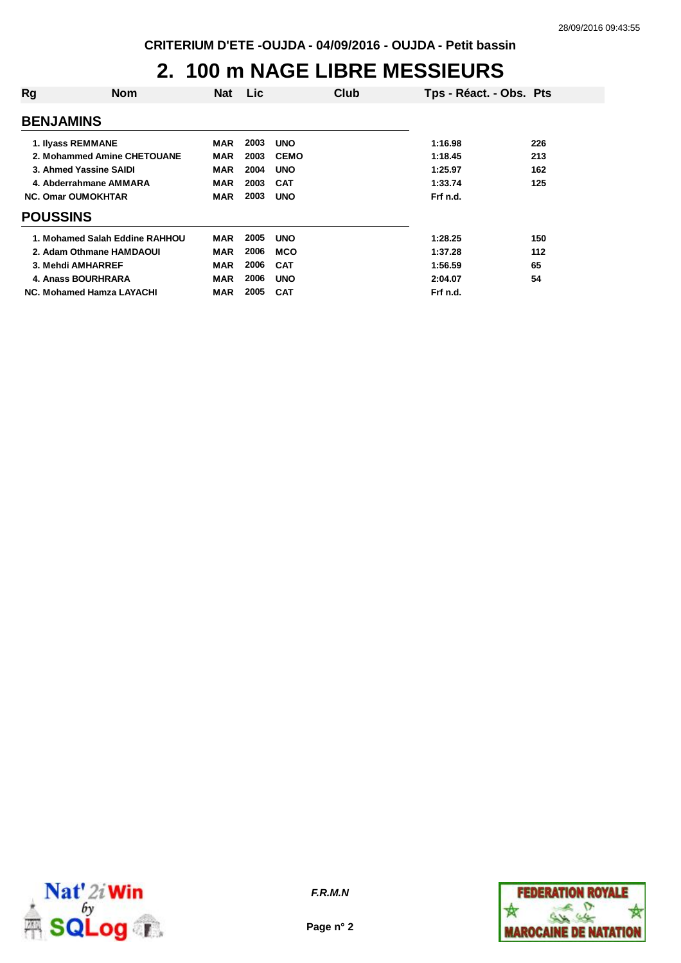## **2. 100 m NAGE LIBRE MESSIEURS**

| Rg               | <b>Nom</b>                     | <b>Nat</b> | <b>Lic</b> | Club        | Tps - Réact. - Obs. Pts |     |
|------------------|--------------------------------|------------|------------|-------------|-------------------------|-----|
| <b>BENJAMINS</b> |                                |            |            |             |                         |     |
|                  | 1. Ilyass REMMANE              | MAR        | 2003       | <b>UNO</b>  | 1:16.98                 | 226 |
|                  | 2. Mohammed Amine CHETOUANE    | MAR        | 2003       | <b>CEMO</b> | 1:18.45                 | 213 |
|                  | 3. Ahmed Yassine SAIDI         | <b>MAR</b> | 2004       | <b>UNO</b>  | 1:25.97                 | 162 |
|                  | 4. Abderrahmane AMMARA         | MAR        | 2003       | <b>CAT</b>  | 1:33.74                 | 125 |
|                  | <b>NC. Omar OUMOKHTAR</b>      | MAR        | 2003       | <b>UNO</b>  | Frf n.d.                |     |
| <b>POUSSINS</b>  |                                |            |            |             |                         |     |
|                  | 1. Mohamed Salah Eddine RAHHOU | <b>MAR</b> | 2005       | <b>UNO</b>  | 1:28.25                 | 150 |
|                  | 2. Adam Othmane HAMDAOUI       | MAR        | 2006       | <b>MCO</b>  | 1:37.28                 | 112 |
|                  | 3. Mehdi AMHARREF              | <b>MAR</b> | 2006       | <b>CAT</b>  | 1:56.59                 | 65  |
|                  | 4. Anass BOURHRARA             | <b>MAR</b> | 2006       | <b>UNO</b>  | 2:04.07                 | 54  |
|                  | NC. Mohamed Hamza LAYACHI      | MAR        | 2005       | <b>CAT</b>  | Frf n.d.                |     |



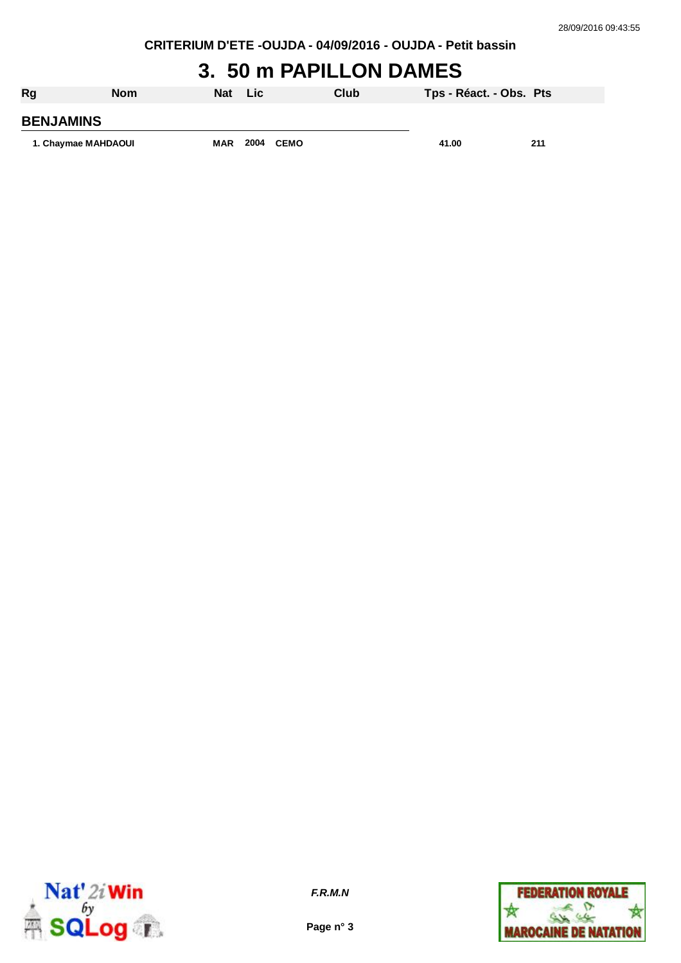# **3. 50 m PAPILLON DAMES**

| Rg                  | <b>Nom</b> | <b>Nat</b> | Lic  |      | Club | Tps - Réact. - Obs. Pts |     |
|---------------------|------------|------------|------|------|------|-------------------------|-----|
| <b>BENJAMINS</b>    |            |            |      |      |      |                         |     |
| 1. Chaymae MAHDAOUI |            | <b>MAR</b> | 2004 | CEMO |      | 41.00                   | 211 |



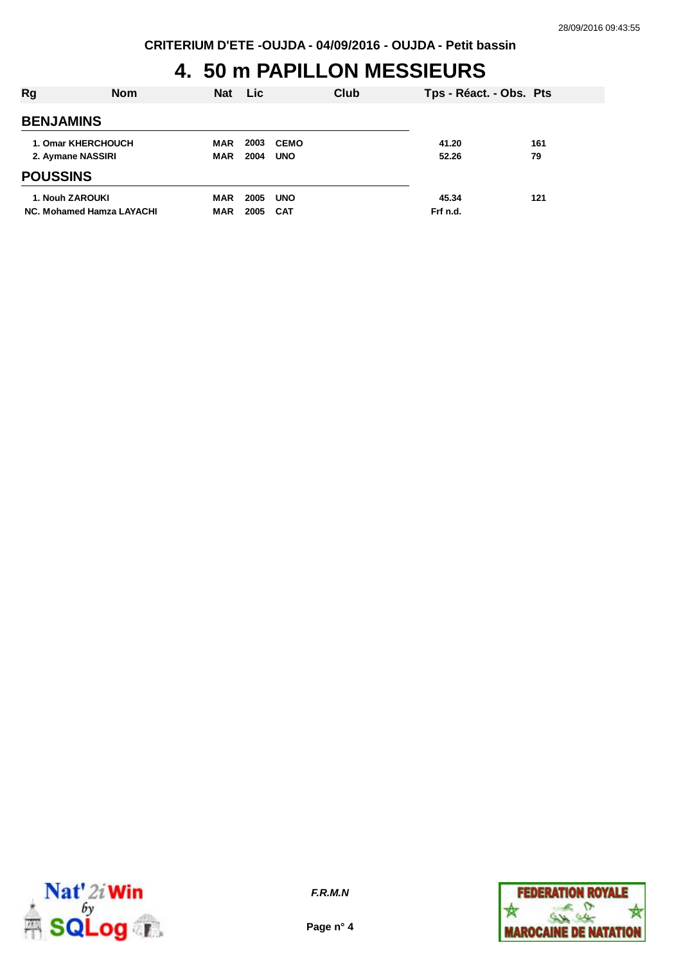## **4. 50 m PAPILLON MESSIEURS**

| Rg                        | <b>Nom</b> | <b>Nat</b> | Lic. |             | Club | Tps - Réact. - Obs. Pts |     |
|---------------------------|------------|------------|------|-------------|------|-------------------------|-----|
| <b>BENJAMINS</b>          |            |            |      |             |      |                         |     |
| 1. Omar KHERCHOUCH        |            | <b>MAR</b> | 2003 | <b>CEMO</b> |      | 41.20                   | 161 |
| 2. Aymane NASSIRI         |            | <b>MAR</b> | 2004 | <b>UNO</b>  |      | 52.26                   | 79  |
| <b>POUSSINS</b>           |            |            |      |             |      |                         |     |
| 1. Nouh ZAROUKI           |            | <b>MAR</b> | 2005 | <b>UNO</b>  |      | 45.34                   | 121 |
| NC. Mohamed Hamza LAYACHI |            | <b>MAR</b> | 2005 | <b>CAT</b>  |      | Frf n.d.                |     |



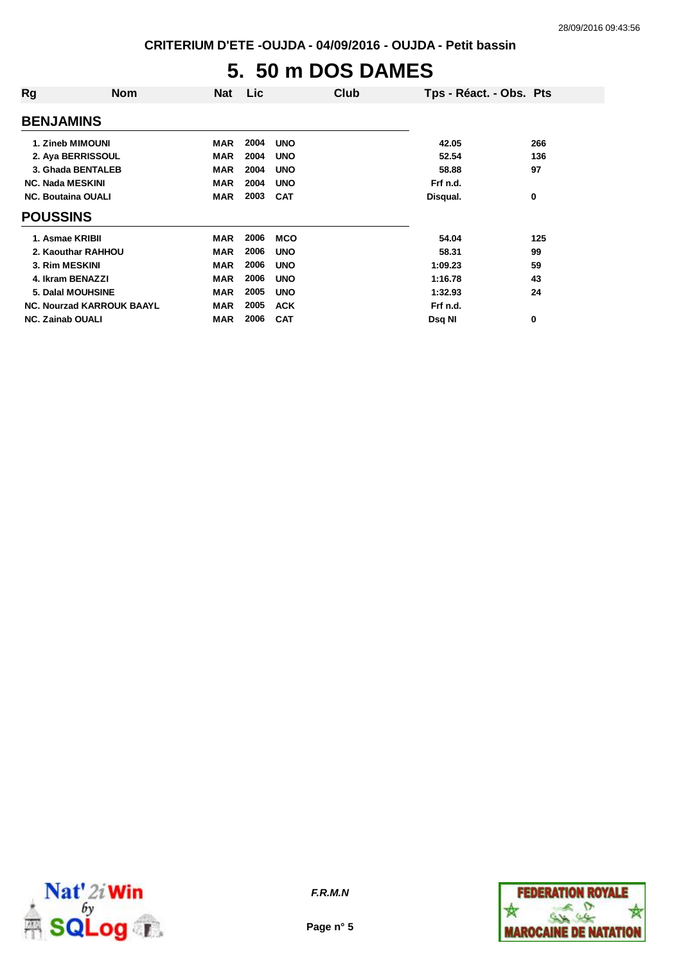# **5. 50 m DOS DAMES**

| Rg                        | Nom                              | <b>Nat</b> | Lic  |            | Club | Tps - Réact. - Obs. Pts |     |
|---------------------------|----------------------------------|------------|------|------------|------|-------------------------|-----|
| <b>BENJAMINS</b>          |                                  |            |      |            |      |                         |     |
| 1. Zineb MIMOUNI          |                                  | <b>MAR</b> | 2004 | <b>UNO</b> |      | 42.05                   | 266 |
| 2. Aya BERRISSOUL         |                                  | <b>MAR</b> | 2004 | <b>UNO</b> |      | 52.54                   | 136 |
| 3. Ghada BENTALEB         |                                  | <b>MAR</b> | 2004 | <b>UNO</b> |      | 58.88                   | 97  |
| <b>NC. Nada MESKINI</b>   |                                  | <b>MAR</b> | 2004 | <b>UNO</b> |      | Frf n.d.                |     |
| <b>NC. Boutaina OUALI</b> |                                  | <b>MAR</b> | 2003 | <b>CAT</b> |      | Disqual.                | 0   |
| <b>POUSSINS</b>           |                                  |            |      |            |      |                         |     |
| 1. Asmae KRIBII           |                                  | <b>MAR</b> | 2006 | <b>MCO</b> |      | 54.04                   | 125 |
| 2. Kaouthar RAHHOU        |                                  | <b>MAR</b> | 2006 | <b>UNO</b> |      | 58.31                   | 99  |
| 3. Rim MESKINI            |                                  | <b>MAR</b> | 2006 | <b>UNO</b> |      | 1:09.23                 | 59  |
| 4. Ikram BENAZZI          |                                  | <b>MAR</b> | 2006 | <b>UNO</b> |      | 1:16.78                 | 43  |
| <b>5. Dalal MOUHSINE</b>  |                                  | <b>MAR</b> | 2005 | <b>UNO</b> |      | 1:32.93                 | 24  |
|                           | <b>NC. Nourzad KARROUK BAAYL</b> | <b>MAR</b> | 2005 | <b>ACK</b> |      | Frf n.d.                |     |
| <b>NC. Zainab OUALI</b>   |                                  | MAR        | 2006 | <b>CAT</b> |      | Dsq NI                  | 0   |



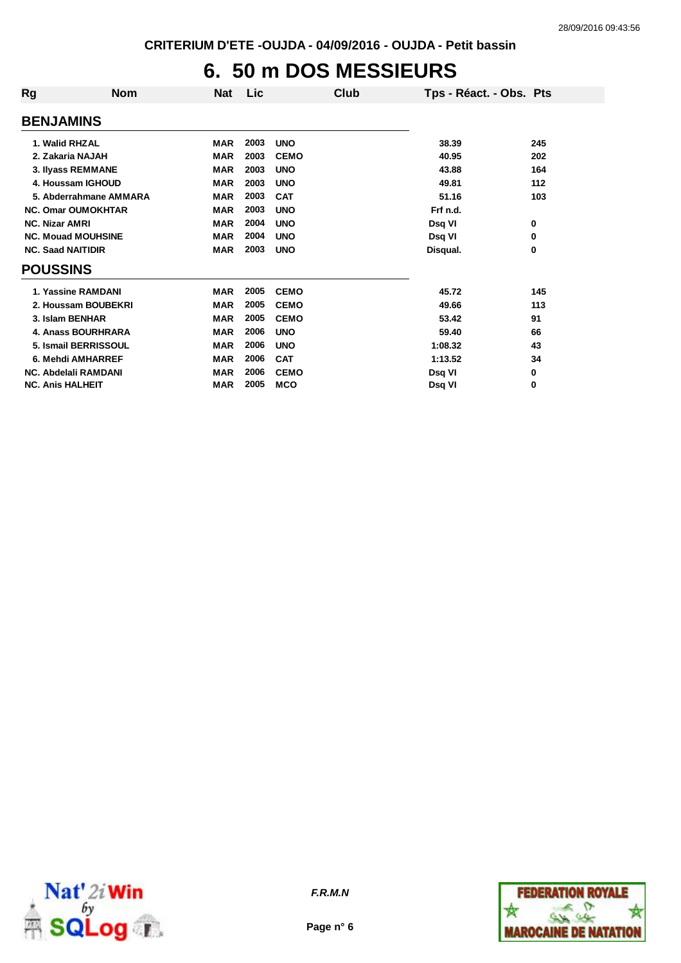## **6. 50 m DOS MESSIEURS**

| Rg                        | <b>Nom</b>             | <b>Nat</b> | Lic  | Club        | Tps - Réact. - Obs. Pts |     |
|---------------------------|------------------------|------------|------|-------------|-------------------------|-----|
| <b>BENJAMINS</b>          |                        |            |      |             |                         |     |
| 1. Walid RHZAL            |                        | <b>MAR</b> | 2003 | <b>UNO</b>  | 38.39                   | 245 |
| 2. Zakaria NAJAH          |                        | <b>MAR</b> | 2003 | <b>CEMO</b> | 40.95                   | 202 |
| 3. Ilyass REMMANE         |                        | <b>MAR</b> | 2003 | <b>UNO</b>  | 43.88                   | 164 |
| 4. Houssam IGHOUD         |                        | <b>MAR</b> | 2003 | <b>UNO</b>  | 49.81                   | 112 |
|                           | 5. Abderrahmane AMMARA | <b>MAR</b> | 2003 | <b>CAT</b>  | 51.16                   | 103 |
| <b>NC. Omar OUMOKHTAR</b> |                        | <b>MAR</b> | 2003 | <b>UNO</b>  | Frf n.d.                |     |
| <b>NC. Nizar AMRI</b>     |                        | <b>MAR</b> | 2004 | <b>UNO</b>  | Dsq VI                  | 0   |
| <b>NC. Mouad MOUHSINE</b> |                        | <b>MAR</b> | 2004 | <b>UNO</b>  | Dsq VI                  | 0   |
| <b>NC. Saad NAITIDIR</b>  |                        | <b>MAR</b> | 2003 | <b>UNO</b>  | Disqual.                | 0   |
| <b>POUSSINS</b>           |                        |            |      |             |                         |     |
| 1. Yassine RAMDANI        |                        | <b>MAR</b> | 2005 | <b>CEMO</b> | 45.72                   | 145 |
|                           | 2. Houssam BOUBEKRI    | <b>MAR</b> | 2005 | <b>CEMO</b> | 49.66                   | 113 |
| 3. Islam BENHAR           |                        | <b>MAR</b> | 2005 | <b>CEMO</b> | 53.42                   | 91  |
|                           | 4. Anass BOURHRARA     | <b>MAR</b> | 2006 | <b>UNO</b>  | 59.40                   | 66  |
|                           | 5. Ismail BERRISSOUL   | <b>MAR</b> | 2006 | <b>UNO</b>  | 1:08.32                 | 43  |
|                           | 6. Mehdi AMHARREF      | <b>MAR</b> | 2006 | <b>CAT</b>  | 1:13.52                 | 34  |
| NC. Abdelali RAMDANI      |                        | <b>MAR</b> | 2006 | <b>CEMO</b> | Dsq VI                  | 0   |
| <b>NC. Anis HALHEIT</b>   |                        | <b>MAR</b> | 2005 | <b>MCO</b>  | Dsq VI                  | 0   |



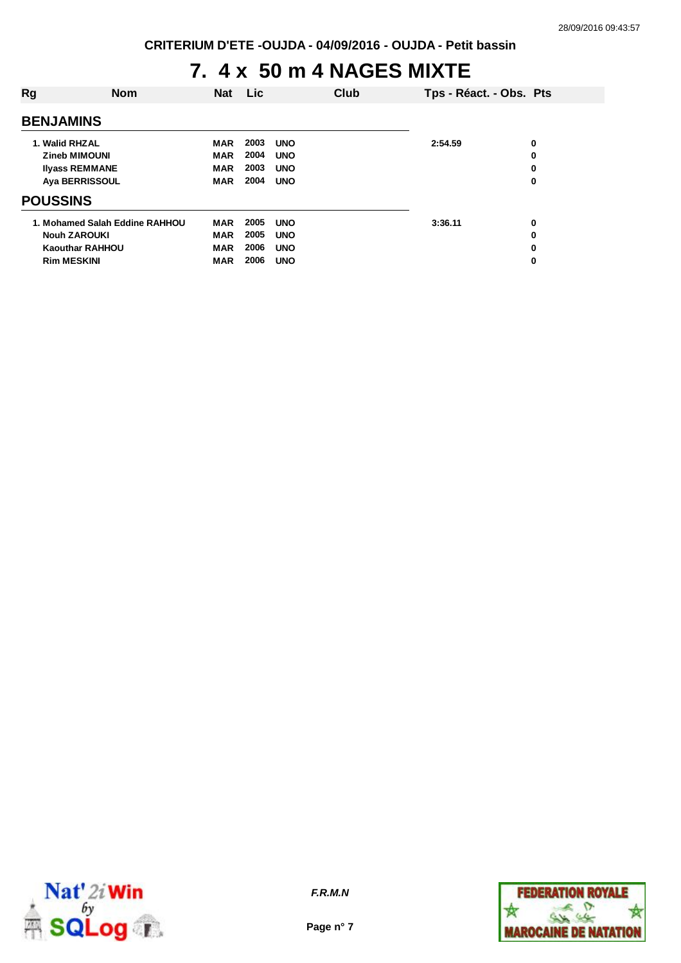#### **7. 4 x 50 m 4 NAGES MIXTE**

| Rg                                                                                       | <b>Nom</b>                     | <b>Nat</b>                                           | Lic                          |                                                      | Club | Tps - Réact. - Obs. Pts |                  |
|------------------------------------------------------------------------------------------|--------------------------------|------------------------------------------------------|------------------------------|------------------------------------------------------|------|-------------------------|------------------|
| <b>BENJAMINS</b>                                                                         |                                |                                                      |                              |                                                      |      |                         |                  |
| 1. Walid RHZAL<br><b>Zineb MIMOUNI</b><br><b>Ilyass REMMANE</b><br><b>Aya BERRISSOUL</b> |                                | <b>MAR</b><br><b>MAR</b><br><b>MAR</b><br><b>MAR</b> | 2003<br>2004<br>2003<br>2004 | <b>UNO</b><br><b>UNO</b><br><b>UNO</b><br><b>UNO</b> |      | 2:54.59                 | 0<br>0<br>0<br>0 |
| <b>POUSSINS</b>                                                                          |                                |                                                      |                              |                                                      |      |                         |                  |
| <b>Nouh ZAROUKI</b><br><b>Kaouthar RAHHOU</b><br><b>Rim MESKINI</b>                      | 1. Mohamed Salah Eddine RAHHOU | <b>MAR</b><br><b>MAR</b><br><b>MAR</b><br><b>MAR</b> | 2005<br>2005<br>2006<br>2006 | <b>UNO</b><br><b>UNO</b><br><b>UNO</b><br><b>UNO</b> |      | 3:36.11                 | 0<br>0<br>0<br>0 |



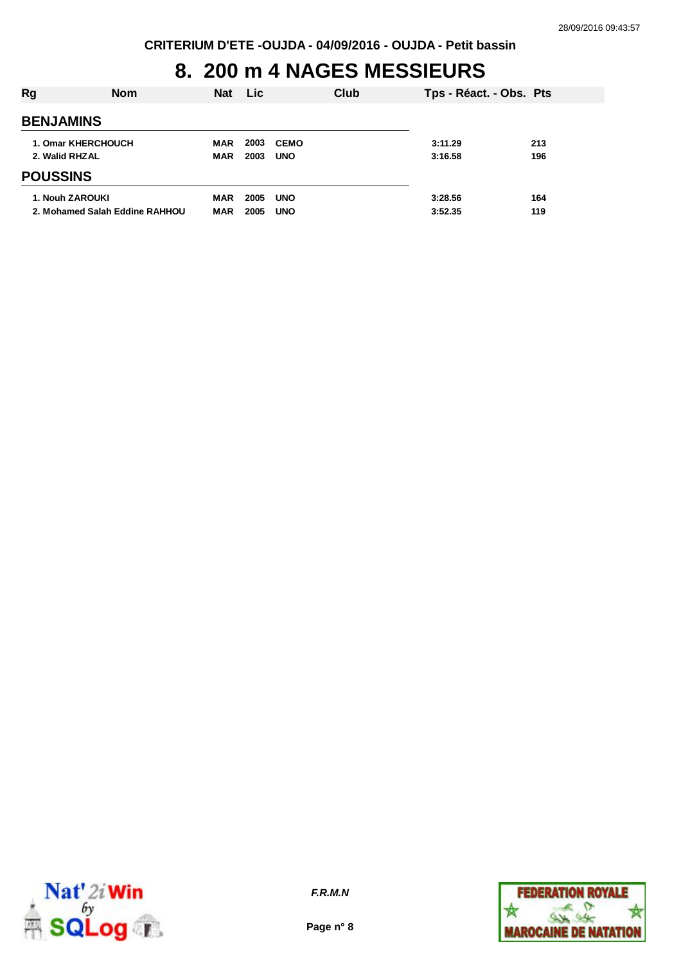## **8. 200 m 4 NAGES MESSIEURS**

| Rg                                          | <b>Nom</b>                     | <b>Nat</b>        | <b>Lic</b>   |                           | Club | Tps - Réact. - Obs. Pts |            |
|---------------------------------------------|--------------------------------|-------------------|--------------|---------------------------|------|-------------------------|------------|
| <b>BENJAMINS</b>                            |                                |                   |              |                           |      |                         |            |
| <b>1. Omar KHERCHOUCH</b><br>2. Walid RHZAL |                                | MAR<br>MAR        | 2003<br>2003 | <b>CEMO</b><br><b>UNO</b> |      | 3:11.29<br>3:16.58      | 213<br>196 |
| <b>POUSSINS</b>                             |                                |                   |              |                           |      |                         |            |
| 1. Nouh ZAROUKI                             | 2. Mohamed Salah Eddine RAHHOU | MAR<br><b>MAR</b> | 2005<br>2005 | <b>UNO</b><br><b>UNO</b>  |      | 3:28.56<br>3:52.35      | 164<br>119 |



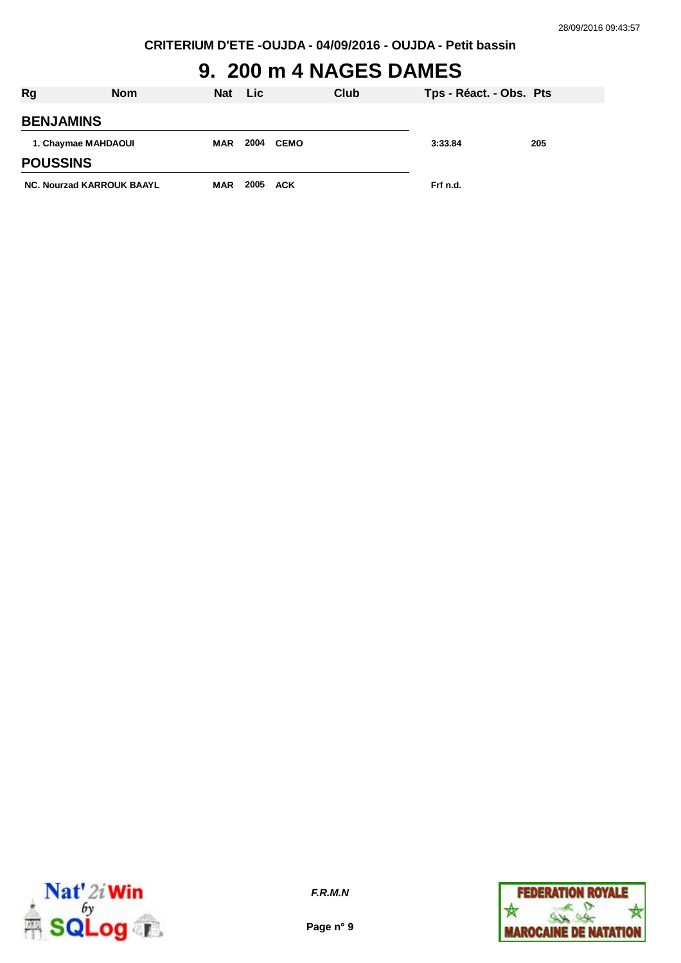## **9. 200 m 4 NAGES DAMES**

| <b>Rg</b>                        | <b>Nom</b> | Nat        | <b>Lic</b> |      | Club | Tps - Réact. - Obs. Pts |     |
|----------------------------------|------------|------------|------------|------|------|-------------------------|-----|
| <b>BENJAMINS</b>                 |            |            |            |      |      |                         |     |
| 1. Chaymae MAHDAOUI              |            | MAR        | 2004       | CEMO |      | 3:33.84                 | 205 |
| <b>POUSSINS</b>                  |            |            |            |      |      |                         |     |
| <b>NC. Nourzad KARROUK BAAYL</b> |            | <b>MAR</b> | 2005 ACK   |      |      | Frf n.d.                |     |



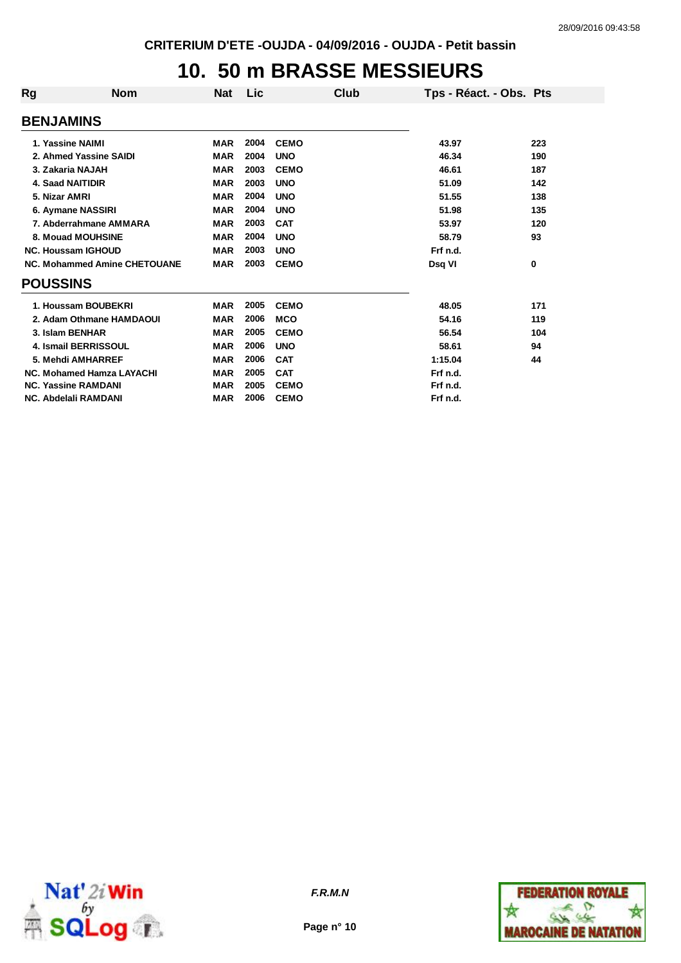### **10. 50 m BRASSE MESSIEURS**

| Rg                         | <b>Nom</b>                          | <b>Nat</b> | Lic  | Club        | Tps - Réact. - Obs. Pts |     |
|----------------------------|-------------------------------------|------------|------|-------------|-------------------------|-----|
| <b>BENJAMINS</b>           |                                     |            |      |             |                         |     |
| 1. Yassine NAIMI           |                                     | <b>MAR</b> | 2004 | <b>CEMO</b> | 43.97                   | 223 |
|                            | 2. Ahmed Yassine SAIDI              | <b>MAR</b> | 2004 | <b>UNO</b>  | 46.34                   | 190 |
| 3. Zakaria NAJAH           |                                     | <b>MAR</b> | 2003 | <b>CEMO</b> | 46.61                   | 187 |
| <b>4. Saad NAITIDIR</b>    |                                     | <b>MAR</b> | 2003 | <b>UNO</b>  | 51.09                   | 142 |
| 5. Nizar AMRI              |                                     | <b>MAR</b> | 2004 | <b>UNO</b>  | 51.55                   | 138 |
| 6. Aymane NASSIRI          |                                     | <b>MAR</b> | 2004 | <b>UNO</b>  | 51.98                   | 135 |
|                            | 7. Abderrahmane AMMARA              | <b>MAR</b> | 2003 | <b>CAT</b>  | 53.97                   | 120 |
|                            | 8. Mouad MOUHSINE                   | <b>MAR</b> | 2004 | <b>UNO</b>  | 58.79                   | 93  |
| <b>NC. Houssam IGHOUD</b>  |                                     | <b>MAR</b> | 2003 | <b>UNO</b>  | Frf n.d.                |     |
|                            | <b>NC. Mohammed Amine CHETOUANE</b> | <b>MAR</b> | 2003 | <b>CEMO</b> | Dsq VI                  | 0   |
| <b>POUSSINS</b>            |                                     |            |      |             |                         |     |
|                            | 1. Houssam BOUBEKRI                 | <b>MAR</b> | 2005 | <b>CEMO</b> | 48.05                   | 171 |
|                            | 2. Adam Othmane HAMDAOUI            | MAR        | 2006 | <b>MCO</b>  | 54.16                   | 119 |
| 3. Islam BENHAR            |                                     | <b>MAR</b> | 2005 | <b>CEMO</b> | 56.54                   | 104 |
|                            | 4. Ismail BERRISSOUL                | <b>MAR</b> | 2006 | <b>UNO</b>  | 58.61                   | 94  |
|                            | 5. Mehdi AMHARREF                   | <b>MAR</b> | 2006 | <b>CAT</b>  | 1:15.04                 | 44  |
|                            | NC. Mohamed Hamza LAYACHI           | <b>MAR</b> | 2005 | <b>CAT</b>  | Frf n.d.                |     |
| <b>NC. Yassine RAMDANI</b> |                                     | <b>MAR</b> | 2005 | <b>CEMO</b> | Frf n.d.                |     |
| NC. Abdelali RAMDANI       |                                     | <b>MAR</b> | 2006 | <b>CEMO</b> | Frf n.d.                |     |



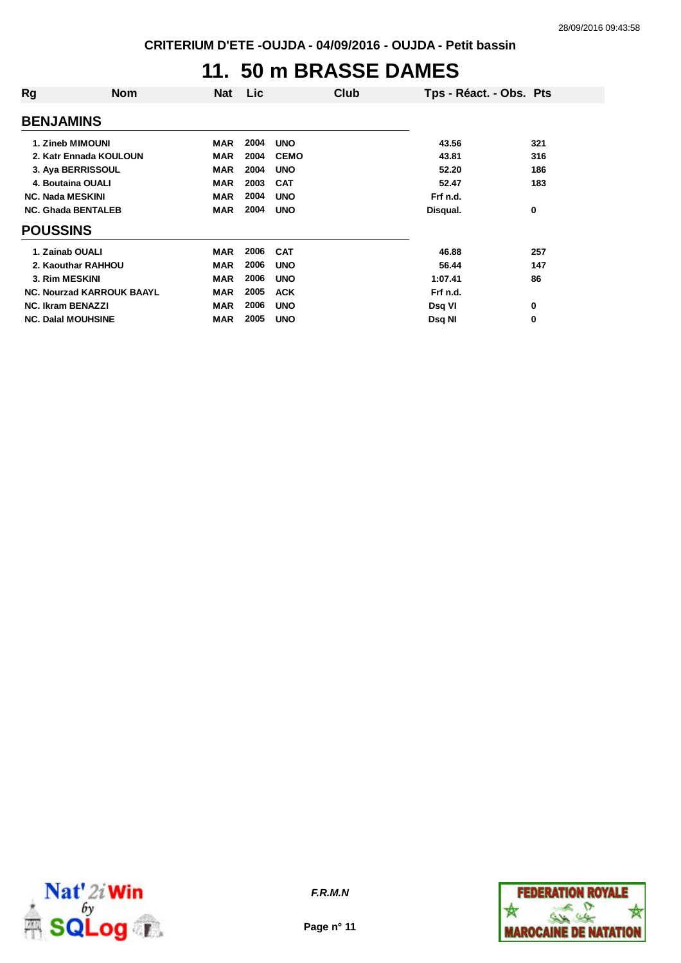## **11. 50 m BRASSE DAMES**

| Rg                        | Nom                              | Nat        | Lic. |             | Club | Tps - Réact. - Obs. Pts |     |
|---------------------------|----------------------------------|------------|------|-------------|------|-------------------------|-----|
| <b>BENJAMINS</b>          |                                  |            |      |             |      |                         |     |
| 1. Zineb MIMOUNI          |                                  | <b>MAR</b> | 2004 | <b>UNO</b>  |      | 43.56                   | 321 |
|                           | 2. Katr Ennada KOULOUN           | <b>MAR</b> | 2004 | <b>CEMO</b> |      | 43.81                   | 316 |
| 3. Aya BERRISSOUL         |                                  | <b>MAR</b> | 2004 | <b>UNO</b>  |      | 52.20                   | 186 |
| 4. Boutaina OUALI         |                                  | <b>MAR</b> | 2003 | <b>CAT</b>  |      | 52.47                   | 183 |
| <b>NC. Nada MESKINI</b>   |                                  | MAR        | 2004 | <b>UNO</b>  |      | Frf n.d.                |     |
| <b>NC. Ghada BENTALEB</b> |                                  | <b>MAR</b> | 2004 | <b>UNO</b>  |      | Disqual.                | 0   |
| <b>POUSSINS</b>           |                                  |            |      |             |      |                         |     |
| 1. Zainab OUALI           |                                  | <b>MAR</b> | 2006 | <b>CAT</b>  |      | 46.88                   | 257 |
|                           | 2. Kaouthar RAHHOU               | <b>MAR</b> | 2006 | <b>UNO</b>  |      | 56.44                   | 147 |
| 3. Rim MESKINI            |                                  | <b>MAR</b> | 2006 | <b>UNO</b>  |      | 1:07.41                 | 86  |
|                           | <b>NC. Nourzad KARROUK BAAYL</b> | <b>MAR</b> | 2005 | <b>ACK</b>  |      | Frf n.d.                |     |
| <b>NC. Ikram BENAZZI</b>  |                                  | <b>MAR</b> | 2006 | <b>UNO</b>  |      | Dsq VI                  | 0   |
| <b>NC. Dalal MOUHSINE</b> |                                  | MAR        | 2005 | <b>UNO</b>  |      | Dsq NI                  | 0   |